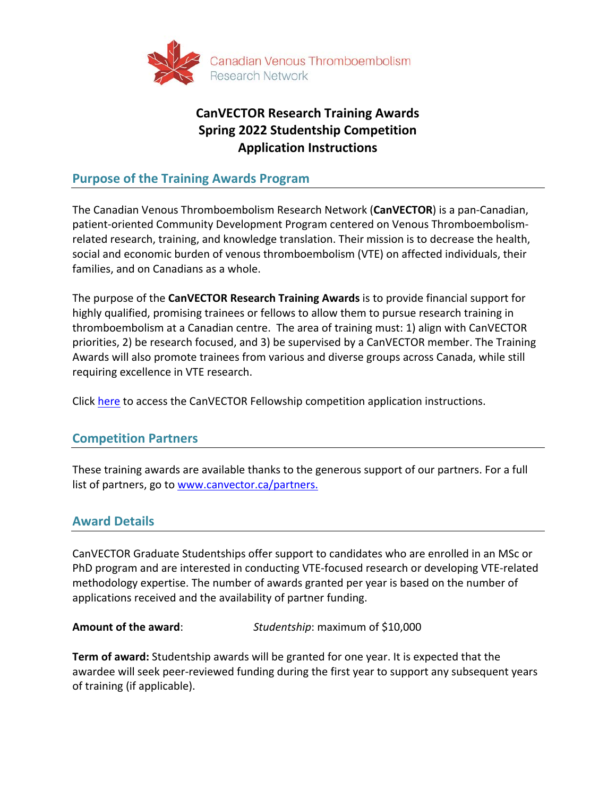

# **CanVECTOR Research Training Awards Spring 2022 Studentship Competition Application Instructions**

#### **Purpose of the Training Awards Program**

The Canadian Venous Thromboembolism Research Network (**CanVECTOR**) is a pan-Canadian, patient-oriented Community Development Program centered on Venous Thromboembolismrelated research, training, and knowledge translation. Their mission is to decrease the health, social and economic burden of venous thromboembolism (VTE) on affected individuals, their families, and on Canadians as a whole.

The purpose of the **CanVECTOR Research Training Awards** is to provide financial support for highly qualified, promising trainees or fellows to allow them to pursue research training in thromboembolism at a Canadian centre. The area of training must: 1) align with CanVECTOR priorities, 2) be research focused, and 3) be supervised by a CanVECTOR member. The Training Awards will also promote trainees from various and diverse groups across Canada, while still requiring excellence in VTE research.

Click [here](https://www.canvector.ca/funding/fellowship-and-studentship/fellowship-award-application-instructions.pdf) to access the CanVECTOR Fellowship competition application instructions.

#### **Competition Partners**

These training awards are available thanks to the generous support of our partners. For a full list of partners, go to [www.canvector.ca/partners.](http://www.canvector.ca/partners)

#### **Award Details**

CanVECTOR Graduate Studentships offer support to candidates who are enrolled in an MSc or PhD program and are interested in conducting VTE-focused research or developing VTE-related methodology expertise. The number of awards granted per year is based on the number of applications received and the availability of partner funding.

**Amount of the award**: *Studentship*: maximum of \$10,000

**Term of award:** Studentship awards will be granted for one year. It is expected that the awardee will seek peer-reviewed funding during the first year to support any subsequent years of training (if applicable).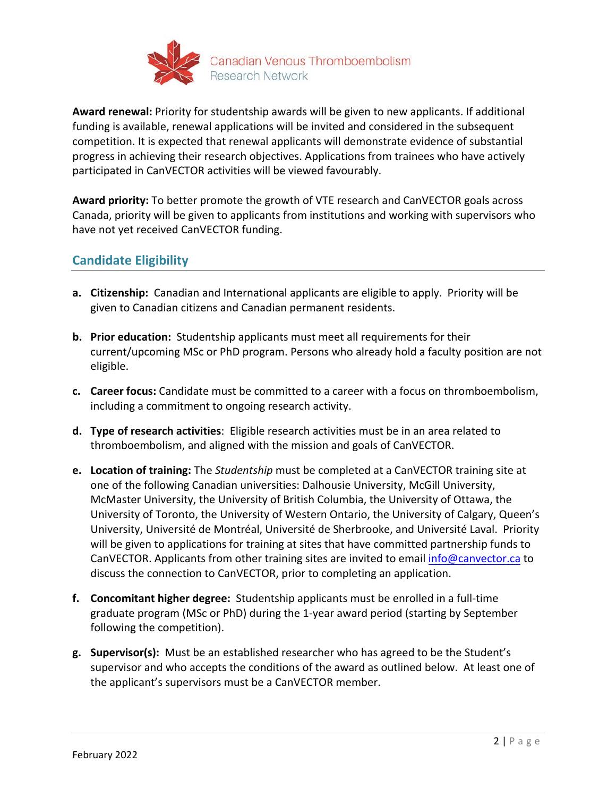

**Award renewal:** Priority for studentship awards will be given to new applicants. If additional funding is available, renewal applications will be invited and considered in the subsequent competition. It is expected that renewal applicants will demonstrate evidence of substantial progress in achieving their research objectives. Applications from trainees who have actively participated in CanVECTOR activities will be viewed favourably.

**Award priority:** To better promote the growth of VTE research and CanVECTOR goals across Canada, priority will be given to applicants from institutions and working with supervisors who have not yet received CanVECTOR funding.

# **Candidate Eligibility**

- **a. Citizenship:** Canadian and International applicants are eligible to apply. Priority will be given to Canadian citizens and Canadian permanent residents.
- **b. Prior education:** Studentship applicants must meet all requirements for their current/upcoming MSc or PhD program. Persons who already hold a faculty position are not eligible.
- **c. Career focus:** Candidate must be committed to a career with a focus on thromboembolism, including a commitment to ongoing research activity.
- **d. Type of research activities**: Eligible research activities must be in an area related to thromboembolism, and aligned with the mission and goals of CanVECTOR.
- **e. Location of training:** The *Studentship* must be completed at a CanVECTOR training site at one of the following Canadian universities: Dalhousie University, McGill University, McMaster University, the University of British Columbia, the University of Ottawa, the University of Toronto, the University of Western Ontario, the University of Calgary, Queen's University, Université de Montréal, Université de Sherbrooke, and Université Laval. Priority will be given to applications for training at sites that have committed partnership funds to CanVECTOR. Applicants from other training sites are invited to email [info@canvector.ca](mailto:info@canvector.ca) to discuss the connection to CanVECTOR, prior to completing an application.
- **f. Concomitant higher degree:** Studentship applicants must be enrolled in a full-time graduate program (MSc or PhD) during the 1-year award period (starting by September following the competition).
- **g. Supervisor(s):** Must be an established researcher who has agreed to be the Student's supervisor and who accepts the conditions of the award as outlined below. At least one of the applicant's supervisors must be a CanVECTOR member.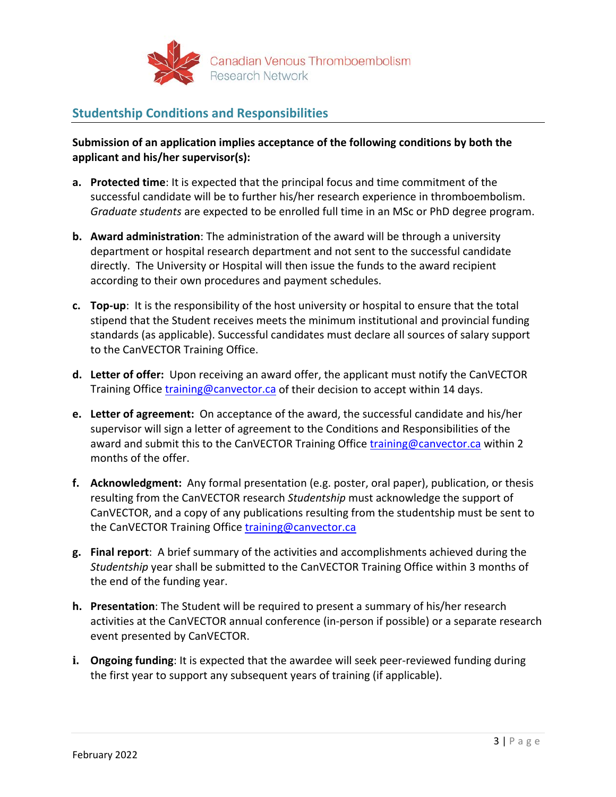

## **Studentship Conditions and Responsibilities**

**Submission of an application implies acceptance of the following conditions by both the applicant and his/her supervisor(s):** 

- **a. Protected time**: It is expected that the principal focus and time commitment of the successful candidate will be to further his/her research experience in thromboembolism. *Graduate students* are expected to be enrolled full time in an MSc or PhD degree program.
- **b. Award administration**: The administration of the award will be through a university department or hospital research department and not sent to the successful candidate directly. The University or Hospital will then issue the funds to the award recipient according to their own procedures and payment schedules.
- **c. Top-up**: It is the responsibility of the host university or hospital to ensure that the total stipend that the Student receives meets the minimum institutional and provincial funding standards (as applicable). Successful candidates must declare all sources of salary support to the CanVECTOR Training Office.
- **d. Letter of offer:** Upon receiving an award offer, the applicant must notify the CanVECTOR Training Office [training@canvector.ca](mailto:trainingandmentoring@canvector.ca) of their decision to accept within 14 days.
- **e. Letter of agreement:** On acceptance of the award, the successful candidate and his/her supervisor will sign a letter of agreement to the Conditions and Responsibilities of the award and submit this to the CanVECTOR Training Office [training@canvector.ca](mailto:trainingandmentoring@canvector.ca) within 2 months of the offer.
- **f. Acknowledgment:** Any formal presentation (e.g. poster, oral paper), publication, or thesis resulting from the CanVECTOR research *Studentship* must acknowledge the support of CanVECTOR, and a copy of any publications resulting from the studentship must be sent to the CanVECTOR Training Office training@canvector.ca
- **g. Final report**: A brief summary of the activities and accomplishments achieved during the *Studentship* year shall be submitted to the CanVECTOR Training Office within 3 months of the end of the funding year.
- **h. Presentation**: The Student will be required to present a summary of his/her research activities at the CanVECTOR annual conference (in-person if possible) or a separate research event presented by CanVECTOR.
- **i. Ongoing funding**: It is expected that the awardee will seek peer-reviewed funding during the first year to support any subsequent years of training (if applicable).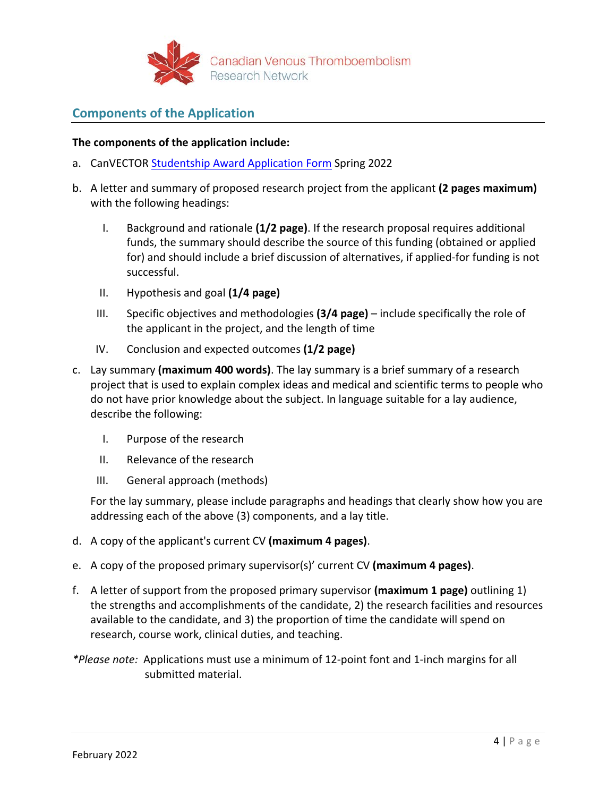

### **Components of the Application**

#### **The components of the application include:**

- a. CanVECTOR [Studentship Award Application Form](https://www.canvector.ca/funding/fellowship-and-studentship/studentship-award-application-form.pdf) Spring 2022
- b. A letter and summary of proposed research project from the applicant **(2 pages maximum)**  with the following headings:
	- I. Background and rationale **(1/2 page)**. If the research proposal requires additional funds, the summary should describe the source of this funding (obtained or applied for) and should include a brief discussion of alternatives, if applied-for funding is not successful.
	- II. Hypothesis and goal **(1/4 page)**
	- III. Specific objectives and methodologies **(3/4 page)** include specifically the role of the applicant in the project, and the length of time
	- IV. Conclusion and expected outcomes **(1/2 page)**
- c. Lay summary **(maximum 400 words)**. The lay summary is a brief summary of a research project that is used to explain complex ideas and medical and scientific terms to people who do not have prior knowledge about the subject. In language suitable for a lay audience, describe the following:
	- I. Purpose of the research
	- II. Relevance of the research
	- III. General approach (methods)

For the lay summary, please include paragraphs and headings that clearly show how you are addressing each of the above (3) components, and a lay title.

- d. A copy of the applicant's current CV **(maximum 4 pages)**.
- e. A copy of the proposed primary supervisor(s)' current CV **(maximum 4 pages)**.
- f. A letter of support from the proposed primary supervisor **(maximum 1 page)** outlining 1) the strengths and accomplishments of the candidate, 2) the research facilities and resources available to the candidate, and 3) the proportion of time the candidate will spend on research, course work, clinical duties, and teaching.
- *\*Please note:* Applications must use a minimum of 12-point font and 1-inch margins for all submitted material.